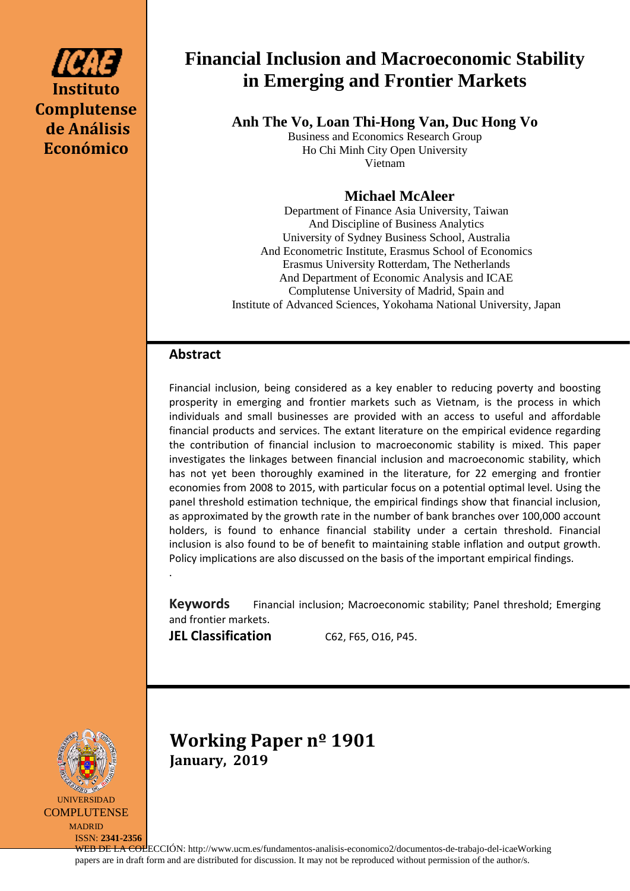

# **Financial Inclusion and Macroeconomic Stability in Emerging and Frontier Markets**

**Anh The Vo, Loan Thi-Hong Van, Duc Hong Vo**

Business and Economics Research Group Ho Chi Minh City Open University Vietnam

# **Michael McAleer**

Department of Finance Asia University, Taiwan And Discipline of Business Analytics University of Sydney Business School, Australia And Econometric Institute, Erasmus School of Economics Erasmus University Rotterdam, The Netherlands And Department of Economic Analysis and ICAE Complutense University of Madrid, Spain and Institute of Advanced Sciences, Yokohama National University, Japan

## **Abstract**

Financial inclusion, being considered as a key enabler to reducing poverty and boosting prosperity in emerging and frontier markets such as Vietnam, is the process in which individuals and small businesses are provided with an access to useful and affordable financial products and services. The extant literature on the empirical evidence regarding the contribution of financial inclusion to macroeconomic stability is mixed. This paper investigates the linkages between financial inclusion and macroeconomic stability, which has not yet been thoroughly examined in the literature, for 22 emerging and frontier economies from 2008 to 2015, with particular focus on a potential optimal level. Using the panel threshold estimation technique, the empirical findings show that financial inclusion, as approximated by the growth rate in the number of bank branches over 100,000 account holders, is found to enhance financial stability under a certain threshold. Financial inclusion is also found to be of benefit to maintaining stable inflation and output growth. Policy implications are also discussed on the basis of the important empirical findings.

**Keywords** Financial inclusion; Macroeconomic stability; Panel threshold; Emerging and frontier markets.

**JEL Classification** C62, F65, 016, P45.

.



ISSN: **2341-2356**

**Working Paper nº 1901 January, 2019**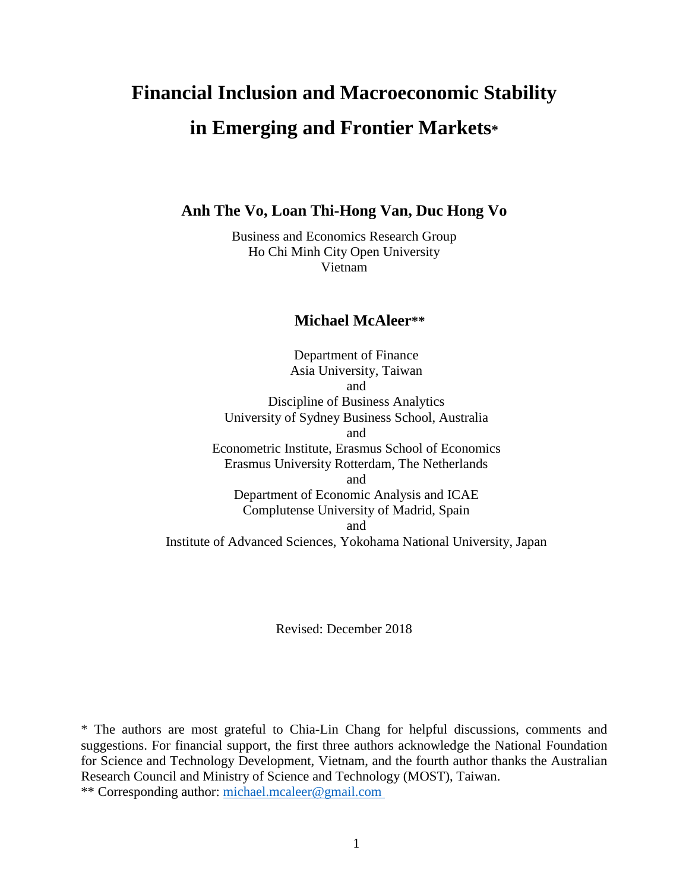# **Financial Inclusion and Macroeconomic Stability in Emerging and Frontier Markets\***

**Anh The Vo, Loan Thi-Hong Van, Duc Hong Vo**

Business and Economics Research Group Ho Chi Minh City Open University Vietnam

### **Michael McAleer\*\***

Department of Finance Asia University, Taiwan and Discipline of Business Analytics University of Sydney Business School, Australia and Econometric Institute, Erasmus School of Economics Erasmus University Rotterdam, The Netherlands and Department of Economic Analysis and ICAE Complutense University of Madrid, Spain and Institute of Advanced Sciences, Yokohama National University, Japan

Revised: December 2018

\* The authors are most grateful to Chia-Lin Chang for helpful discussions, comments and suggestions. For financial support, the first three authors acknowledge the National Foundation for Science and Technology Development, Vietnam, and the fourth author thanks the Australian Research Council and Ministry of Science and Technology (MOST), Taiwan. \*\* Corresponding author: [michael.mcaleer@gmail.com](mailto:michael.mcaleer@gmail.com)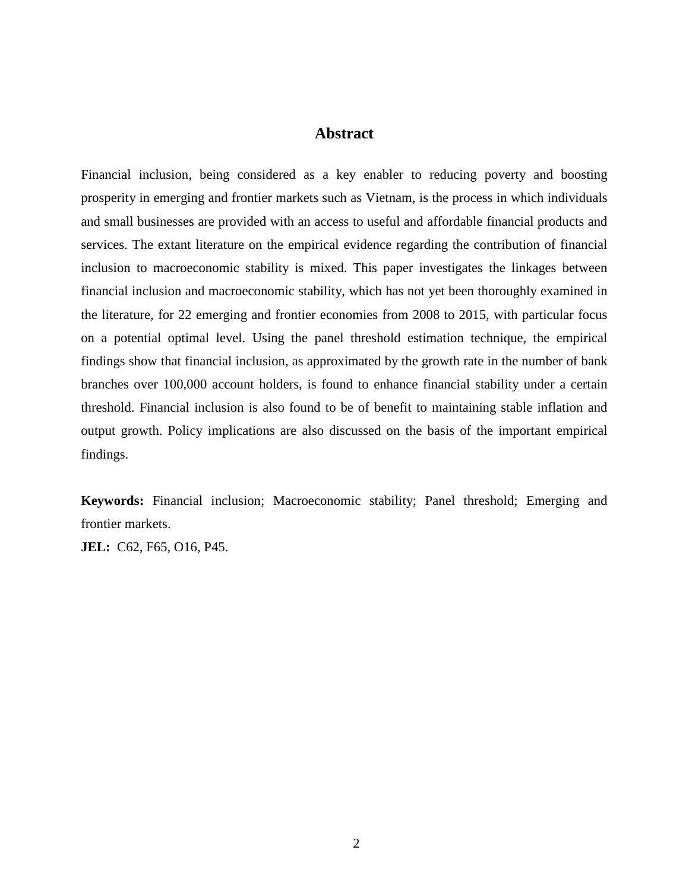### **Abstract**

Financial inclusion, being considered as a key enabler to reducing poverty and boosting prosperity in emerging and frontier markets such as Vietnam, is the process in which individuals and small businesses are provided with an access to useful and affordable financial products and services. The extant literature on the empirical evidence regarding the contribution of financial inclusion to macroeconomic stability is mixed. This paper investigates the linkages between financial inclusion and macroeconomic stability, which has not yet been thoroughly examined in the literature, for 22 emerging and frontier economies from 2008 to 2015, with particular focus on a potential optimal level. Using the panel threshold estimation technique, the empirical findings show that financial inclusion, as approximated by the growth rate in the number of bank branches over 100,000 account holders, is found to enhance financial stability under a certain threshold. Financial inclusion is also found to be of benefit to maintaining stable inflation and output growth. Policy implications are also discussed on the basis of the important empirical findings.

**Keywords:** Financial inclusion; Macroeconomic stability; Panel threshold; Emerging and frontier markets.

**JEL:** C62, F65, O16, P45.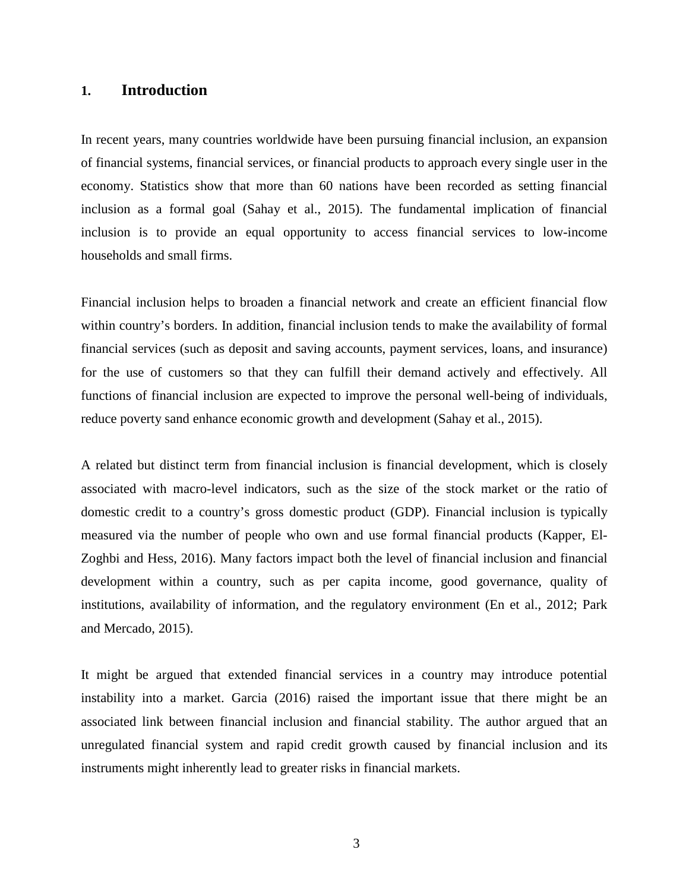### **1. Introduction**

In recent years, many countries worldwide have been pursuing financial inclusion, an expansion of financial systems, financial services, or financial products to approach every single user in the economy. Statistics show that more than 60 nations have been recorded as setting financial inclusion as a formal goal (Sahay et al., 2015). The fundamental implication of financial inclusion is to provide an equal opportunity to access financial services to low-income households and small firms.

Financial inclusion helps to broaden a financial network and create an efficient financial flow within country's borders. In addition, financial inclusion tends to make the availability of formal financial services (such as deposit and saving accounts, payment services, loans, and insurance) for the use of customers so that they can fulfill their demand actively and effectively. All functions of financial inclusion are expected to improve the personal well-being of individuals, reduce poverty sand enhance economic growth and development (Sahay et al., 2015).

A related but distinct term from financial inclusion is financial development, which is closely associated with macro-level indicators, such as the size of the stock market or the ratio of domestic credit to a country's gross domestic product (GDP). Financial inclusion is typically measured via the number of people who own and use formal financial products (Kapper, El-Zoghbi and Hess, 2016). Many factors impact both the level of financial inclusion and financial development within a country, such as per capita income, good governance, quality of institutions, availability of information, and the regulatory environment (En et al., 2012; Park and Mercado, 2015).

It might be argued that extended financial services in a country may introduce potential instability into a market. Garcia (2016) raised the important issue that there might be an associated link between financial inclusion and financial stability. The author argued that an unregulated financial system and rapid credit growth caused by financial inclusion and its instruments might inherently lead to greater risks in financial markets.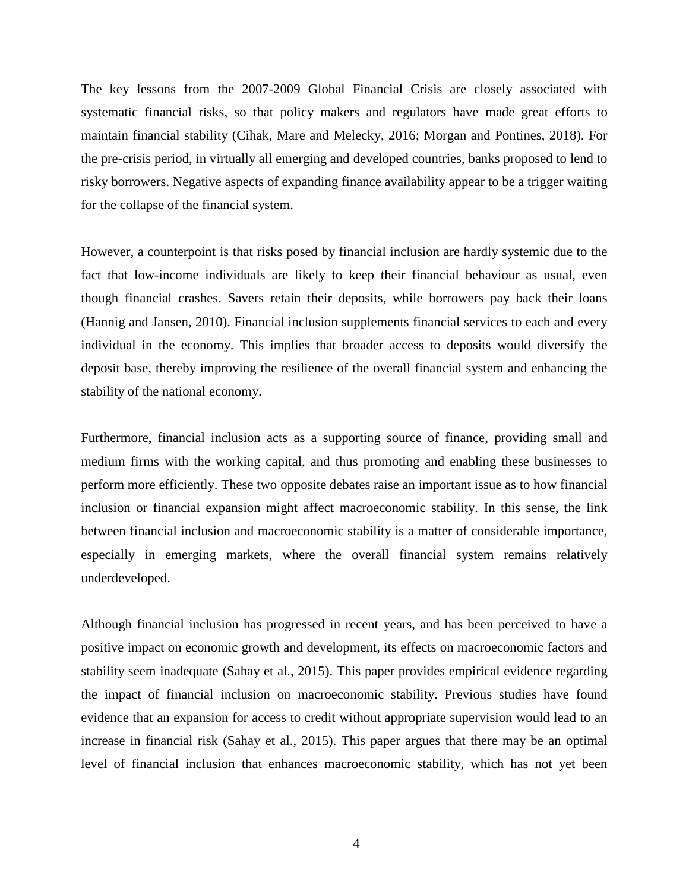The key lessons from the 2007-2009 Global Financial Crisis are closely associated with systematic financial risks, so that policy makers and regulators have made great efforts to maintain financial stability (Cihak, Mare and Melecky, 2016; Morgan and Pontines, 2018). For the pre-crisis period, in virtually all emerging and developed countries, banks proposed to lend to risky borrowers. Negative aspects of expanding finance availability appear to be a trigger waiting for the collapse of the financial system.

However, a counterpoint is that risks posed by financial inclusion are hardly systemic due to the fact that low-income individuals are likely to keep their financial behaviour as usual, even though financial crashes. Savers retain their deposits, while borrowers pay back their loans (Hannig and Jansen, 2010). Financial inclusion supplements financial services to each and every individual in the economy. This implies that broader access to deposits would diversify the deposit base, thereby improving the resilience of the overall financial system and enhancing the stability of the national economy.

Furthermore, financial inclusion acts as a supporting source of finance, providing small and medium firms with the working capital, and thus promoting and enabling these businesses to perform more efficiently. These two opposite debates raise an important issue as to how financial inclusion or financial expansion might affect macroeconomic stability. In this sense, the link between financial inclusion and macroeconomic stability is a matter of considerable importance, especially in emerging markets, where the overall financial system remains relatively underdeveloped.

Although financial inclusion has progressed in recent years, and has been perceived to have a positive impact on economic growth and development, its effects on macroeconomic factors and stability seem inadequate (Sahay et al., 2015). This paper provides empirical evidence regarding the impact of financial inclusion on macroeconomic stability. Previous studies have found evidence that an expansion for access to credit without appropriate supervision would lead to an increase in financial risk (Sahay et al., 2015). This paper argues that there may be an optimal level of financial inclusion that enhances macroeconomic stability, which has not yet been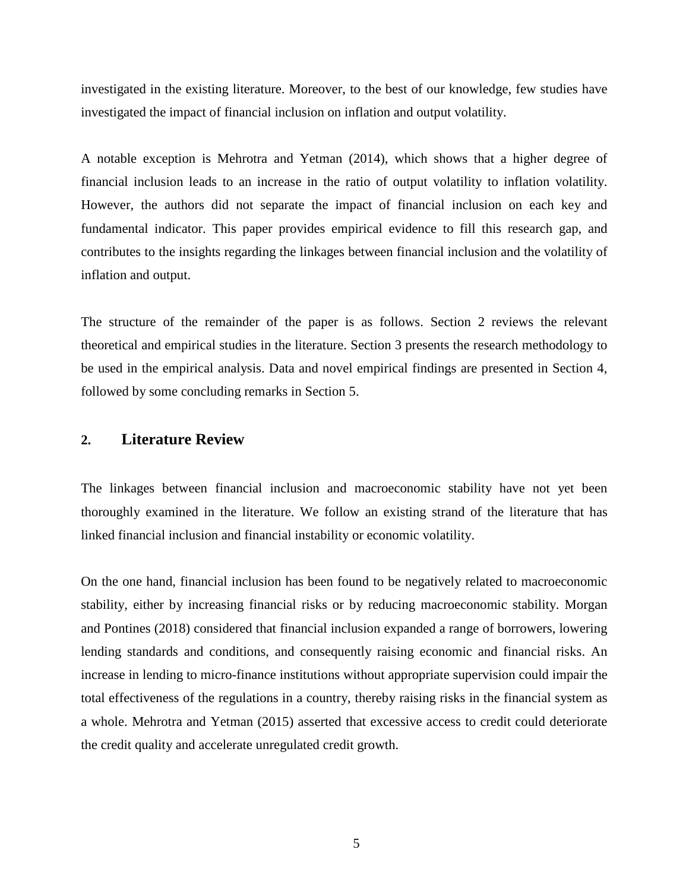investigated in the existing literature. Moreover, to the best of our knowledge, few studies have investigated the impact of financial inclusion on inflation and output volatility.

A notable exception is Mehrotra and Yetman (2014), which shows that a higher degree of financial inclusion leads to an increase in the ratio of output volatility to inflation volatility. However, the authors did not separate the impact of financial inclusion on each key and fundamental indicator. This paper provides empirical evidence to fill this research gap, and contributes to the insights regarding the linkages between financial inclusion and the volatility of inflation and output.

The structure of the remainder of the paper is as follows. Section 2 reviews the relevant theoretical and empirical studies in the literature. Section 3 presents the research methodology to be used in the empirical analysis. Data and novel empirical findings are presented in Section 4, followed by some concluding remarks in Section 5.

### **2. Literature Review**

The linkages between financial inclusion and macroeconomic stability have not yet been thoroughly examined in the literature. We follow an existing strand of the literature that has linked financial inclusion and financial instability or economic volatility.

On the one hand, financial inclusion has been found to be negatively related to macroeconomic stability, either by increasing financial risks or by reducing macroeconomic stability. Morgan and Pontines (2018) considered that financial inclusion expanded a range of borrowers, lowering lending standards and conditions, and consequently raising economic and financial risks. An increase in lending to micro-finance institutions without appropriate supervision could impair the total effectiveness of the regulations in a country, thereby raising risks in the financial system as a whole. Mehrotra and Yetman (2015) asserted that excessive access to credit could deteriorate the credit quality and accelerate unregulated credit growth.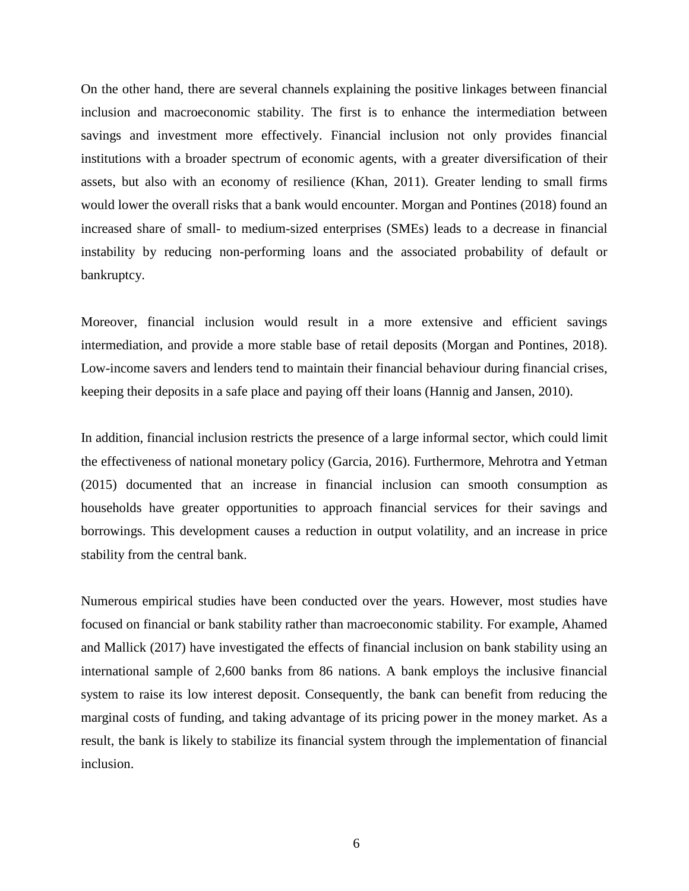On the other hand, there are several channels explaining the positive linkages between financial inclusion and macroeconomic stability. The first is to enhance the intermediation between savings and investment more effectively. Financial inclusion not only provides financial institutions with a broader spectrum of economic agents, with a greater diversification of their assets, but also with an economy of resilience (Khan, 2011). Greater lending to small firms would lower the overall risks that a bank would encounter. Morgan and Pontines (2018) found an increased share of small- to medium-sized enterprises (SMEs) leads to a decrease in financial instability by reducing non-performing loans and the associated probability of default or bankruptcy.

Moreover, financial inclusion would result in a more extensive and efficient savings intermediation, and provide a more stable base of retail deposits (Morgan and Pontines, 2018). Low-income savers and lenders tend to maintain their financial behaviour during financial crises, keeping their deposits in a safe place and paying off their loans (Hannig and Jansen, 2010).

In addition, financial inclusion restricts the presence of a large informal sector, which could limit the effectiveness of national monetary policy (Garcia, 2016). Furthermore, Mehrotra and Yetman (2015) documented that an increase in financial inclusion can smooth consumption as households have greater opportunities to approach financial services for their savings and borrowings. This development causes a reduction in output volatility, and an increase in price stability from the central bank.

Numerous empirical studies have been conducted over the years. However, most studies have focused on financial or bank stability rather than macroeconomic stability. For example, Ahamed and Mallick (2017) have investigated the effects of financial inclusion on bank stability using an international sample of 2,600 banks from 86 nations. A bank employs the inclusive financial system to raise its low interest deposit. Consequently, the bank can benefit from reducing the marginal costs of funding, and taking advantage of its pricing power in the money market. As a result, the bank is likely to stabilize its financial system through the implementation of financial inclusion.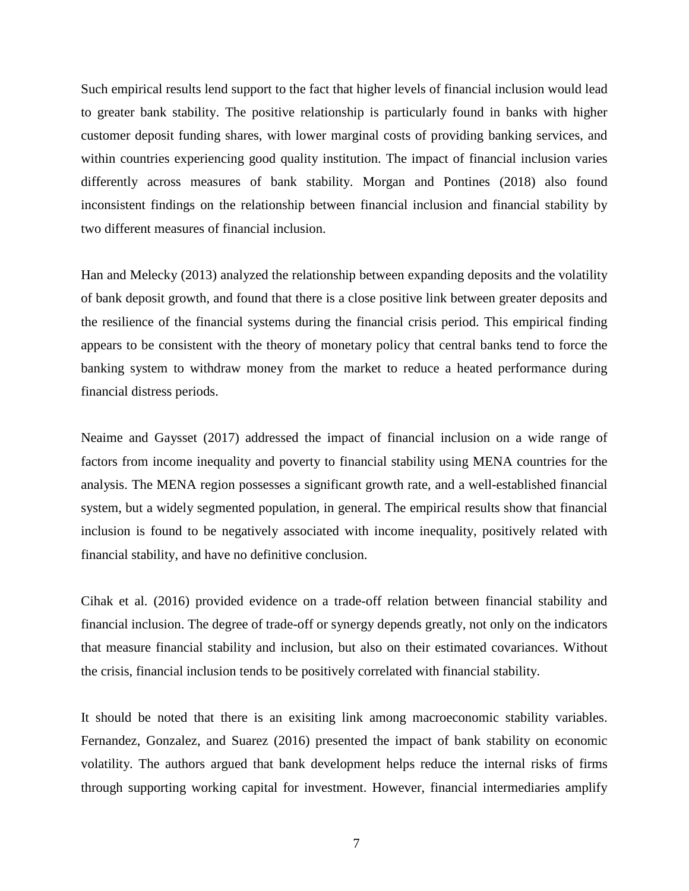Such empirical results lend support to the fact that higher levels of financial inclusion would lead to greater bank stability. The positive relationship is particularly found in banks with higher customer deposit funding shares, with lower marginal costs of providing banking services, and within countries experiencing good quality institution. The impact of financial inclusion varies differently across measures of bank stability. Morgan and Pontines (2018) also found inconsistent findings on the relationship between financial inclusion and financial stability by two different measures of financial inclusion.

Han and Melecky (2013) analyzed the relationship between expanding deposits and the volatility of bank deposit growth, and found that there is a close positive link between greater deposits and the resilience of the financial systems during the financial crisis period. This empirical finding appears to be consistent with the theory of monetary policy that central banks tend to force the banking system to withdraw money from the market to reduce a heated performance during financial distress periods.

Neaime and Gaysset (2017) addressed the impact of financial inclusion on a wide range of factors from income inequality and poverty to financial stability using MENA countries for the analysis. The MENA region possesses a significant growth rate, and a well-established financial system, but a widely segmented population, in general. The empirical results show that financial inclusion is found to be negatively associated with income inequality, positively related with financial stability, and have no definitive conclusion.

Cihak et al. (2016) provided evidence on a trade-off relation between financial stability and financial inclusion. The degree of trade-off or synergy depends greatly, not only on the indicators that measure financial stability and inclusion, but also on their estimated covariances. Without the crisis, financial inclusion tends to be positively correlated with financial stability.

It should be noted that there is an exisiting link among macroeconomic stability variables. Fernandez, Gonzalez, and Suarez (2016) presented the impact of bank stability on economic volatility. The authors argued that bank development helps reduce the internal risks of firms through supporting working capital for investment. However, financial intermediaries amplify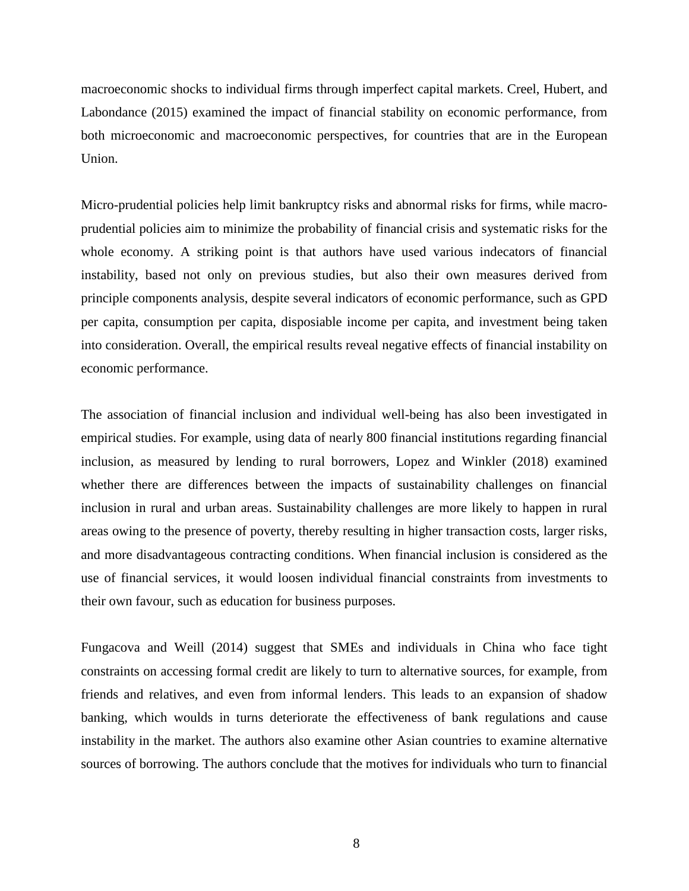macroeconomic shocks to individual firms through imperfect capital markets. Creel, Hubert, and Labondance (2015) examined the impact of financial stability on economic performance, from both microeconomic and macroeconomic perspectives, for countries that are in the European Union.

Micro-prudential policies help limit bankruptcy risks and abnormal risks for firms, while macroprudential policies aim to minimize the probability of financial crisis and systematic risks for the whole economy. A striking point is that authors have used various indecators of financial instability, based not only on previous studies, but also their own measures derived from principle components analysis, despite several indicators of economic performance, such as GPD per capita, consumption per capita, disposiable income per capita, and investment being taken into consideration. Overall, the empirical results reveal negative effects of financial instability on economic performance.

The association of financial inclusion and individual well-being has also been investigated in empirical studies. For example, using data of nearly 800 financial institutions regarding financial inclusion, as measured by lending to rural borrowers, Lopez and Winkler (2018) examined whether there are differences between the impacts of sustainability challenges on financial inclusion in rural and urban areas. Sustainability challenges are more likely to happen in rural areas owing to the presence of poverty, thereby resulting in higher transaction costs, larger risks, and more disadvantageous contracting conditions. When financial inclusion is considered as the use of financial services, it would loosen individual financial constraints from investments to their own favour, such as education for business purposes.

Fungacova and Weill (2014) suggest that SMEs and individuals in China who face tight constraints on accessing formal credit are likely to turn to alternative sources, for example, from friends and relatives, and even from informal lenders. This leads to an expansion of shadow banking, which woulds in turns deteriorate the effectiveness of bank regulations and cause instability in the market. The authors also examine other Asian countries to examine alternative sources of borrowing. The authors conclude that the motives for individuals who turn to financial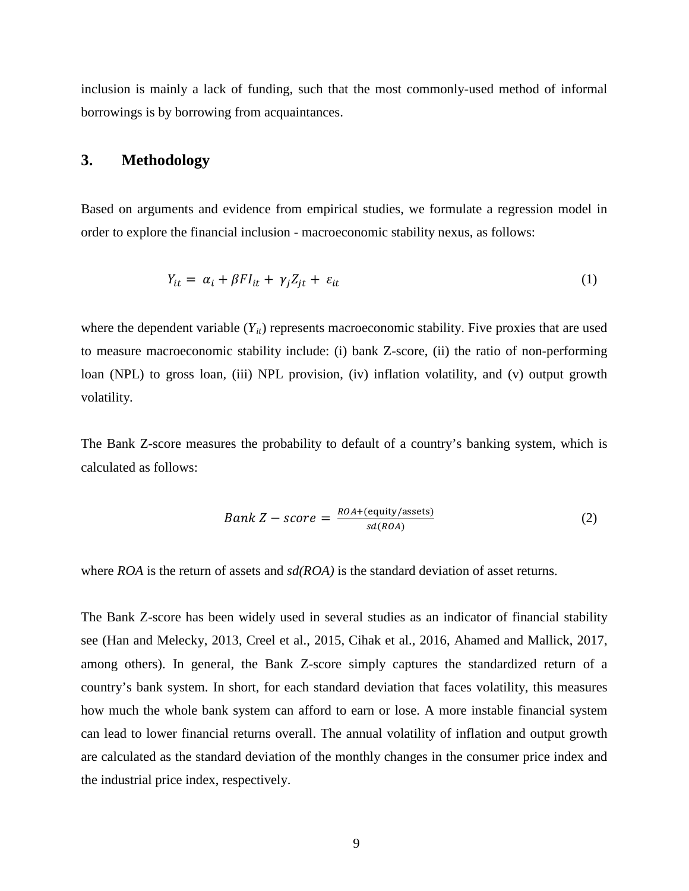inclusion is mainly a lack of funding, such that the most commonly-used method of informal borrowings is by borrowing from acquaintances.

### **3. Methodology**

Based on arguments and evidence from empirical studies, we formulate a regression model in order to explore the financial inclusion - macroeconomic stability nexus, as follows:

$$
Y_{it} = \alpha_i + \beta F I_{it} + \gamma_j Z_{jt} + \varepsilon_{it} \tag{1}
$$

where the dependent variable  $(Y_{it})$  represents macroeconomic stability. Five proxies that are used to measure macroeconomic stability include: (i) bank Z-score, (ii) the ratio of non-performing loan (NPL) to gross loan, (iii) NPL provision, (iv) inflation volatility, and (v) output growth volatility.

The Bank Z-score measures the probability to default of a country's banking system, which is calculated as follows:

$$
Bank Z - score = \frac{ROA + (equity/assets)}{sd(ROA)} \tag{2}
$$

where *ROA* is the return of assets and *sd(ROA)* is the standard deviation of asset returns.

The Bank Z-score has been widely used in several studies as an indicator of financial stability see (Han and Melecky, 2013, Creel et al., 2015, Cihak et al., 2016, Ahamed and Mallick, 2017, among others). In general, the Bank Z-score simply captures the standardized return of a country's bank system. In short, for each standard deviation that faces volatility, this measures how much the whole bank system can afford to earn or lose. A more instable financial system can lead to lower financial returns overall. The annual volatility of inflation and output growth are calculated as the standard deviation of the monthly changes in the consumer price index and the industrial price index, respectively.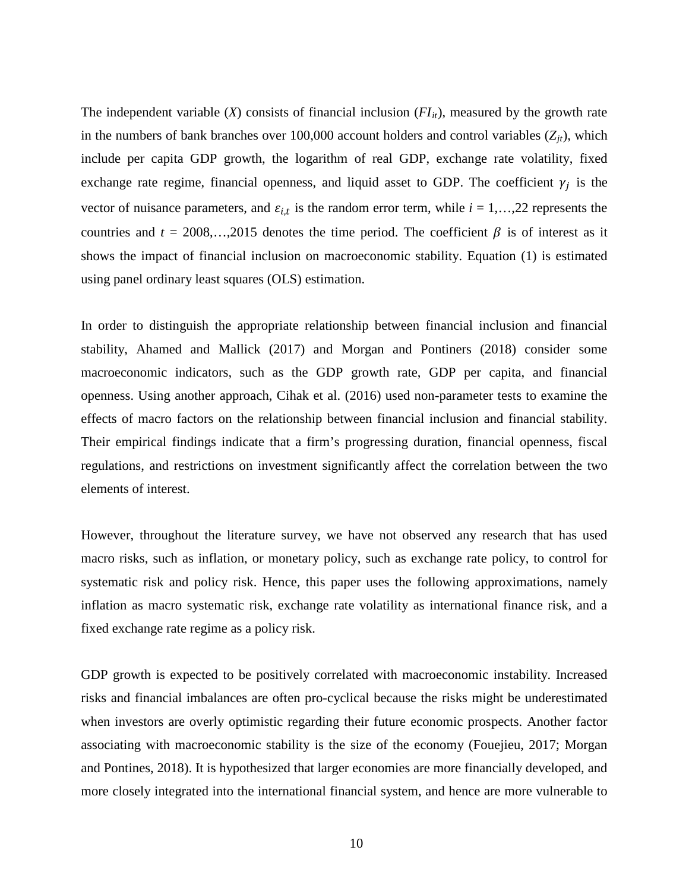The independent variable  $(X)$  consists of financial inclusion  $(FI_{it})$ , measured by the growth rate in the numbers of bank branches over  $100,000$  account holders and control variables  $(Z_{it})$ , which include per capita GDP growth, the logarithm of real GDP, exchange rate volatility, fixed exchange rate regime, financial openness, and liquid asset to GDP. The coefficient  $\gamma_i$  is the vector of nuisance parameters, and  $\varepsilon_{i,t}$  is the random error term, while  $i = 1,...,22$  represents the countries and  $t = 2008,...,2015$  denotes the time period. The coefficient  $\beta$  is of interest as it shows the impact of financial inclusion on macroeconomic stability. Equation (1) is estimated using panel ordinary least squares (OLS) estimation.

In order to distinguish the appropriate relationship between financial inclusion and financial stability, Ahamed and Mallick (2017) and Morgan and Pontiners (2018) consider some macroeconomic indicators, such as the GDP growth rate, GDP per capita, and financial openness. Using another approach, Cihak et al. (2016) used non-parameter tests to examine the effects of macro factors on the relationship between financial inclusion and financial stability. Their empirical findings indicate that a firm's progressing duration, financial openness, fiscal regulations, and restrictions on investment significantly affect the correlation between the two elements of interest.

However, throughout the literature survey, we have not observed any research that has used macro risks, such as inflation, or monetary policy, such as exchange rate policy, to control for systematic risk and policy risk. Hence, this paper uses the following approximations, namely inflation as macro systematic risk, exchange rate volatility as international finance risk, and a fixed exchange rate regime as a policy risk.

GDP growth is expected to be positively correlated with macroeconomic instability. Increased risks and financial imbalances are often pro-cyclical because the risks might be underestimated when investors are overly optimistic regarding their future economic prospects. Another factor associating with macroeconomic stability is the size of the economy (Fouejieu, 2017; Morgan and Pontines, 2018). It is hypothesized that larger economies are more financially developed, and more closely integrated into the international financial system, and hence are more vulnerable to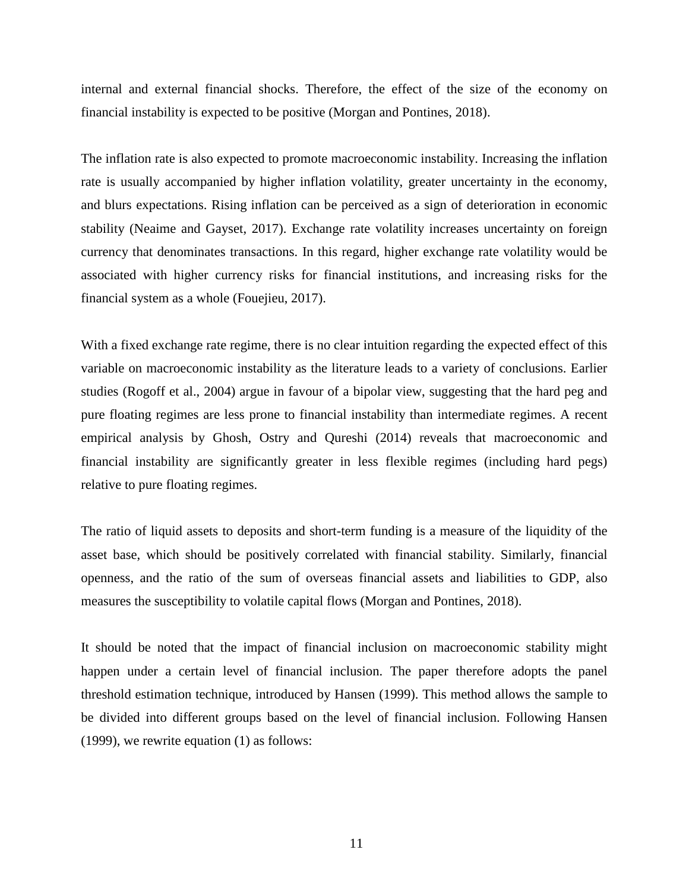internal and external financial shocks. Therefore, the effect of the size of the economy on financial instability is expected to be positive (Morgan and Pontines, 2018).

The inflation rate is also expected to promote macroeconomic instability. Increasing the inflation rate is usually accompanied by higher inflation volatility, greater uncertainty in the economy, and blurs expectations. Rising inflation can be perceived as a sign of deterioration in economic stability (Neaime and Gayset, 2017). Exchange rate volatility increases uncertainty on foreign currency that denominates transactions. In this regard, higher exchange rate volatility would be associated with higher currency risks for financial institutions, and increasing risks for the financial system as a whole (Fouejieu, 2017).

With a fixed exchange rate regime, there is no clear intuition regarding the expected effect of this variable on macroeconomic instability as the literature leads to a variety of conclusions. Earlier studies (Rogoff et al., 2004) argue in favour of a bipolar view, suggesting that the hard peg and pure floating regimes are less prone to financial instability than intermediate regimes. A recent empirical analysis by Ghosh, Ostry and Qureshi (2014) reveals that macroeconomic and financial instability are significantly greater in less flexible regimes (including hard pegs) relative to pure floating regimes.

The ratio of liquid assets to deposits and short-term funding is a measure of the liquidity of the asset base, which should be positively correlated with financial stability. Similarly, financial openness, and the ratio of the sum of overseas financial assets and liabilities to GDP, also measures the susceptibility to volatile capital flows (Morgan and Pontines, 2018).

It should be noted that the impact of financial inclusion on macroeconomic stability might happen under a certain level of financial inclusion. The paper therefore adopts the panel threshold estimation technique, introduced by Hansen (1999). This method allows the sample to be divided into different groups based on the level of financial inclusion. Following Hansen (1999), we rewrite equation (1) as follows: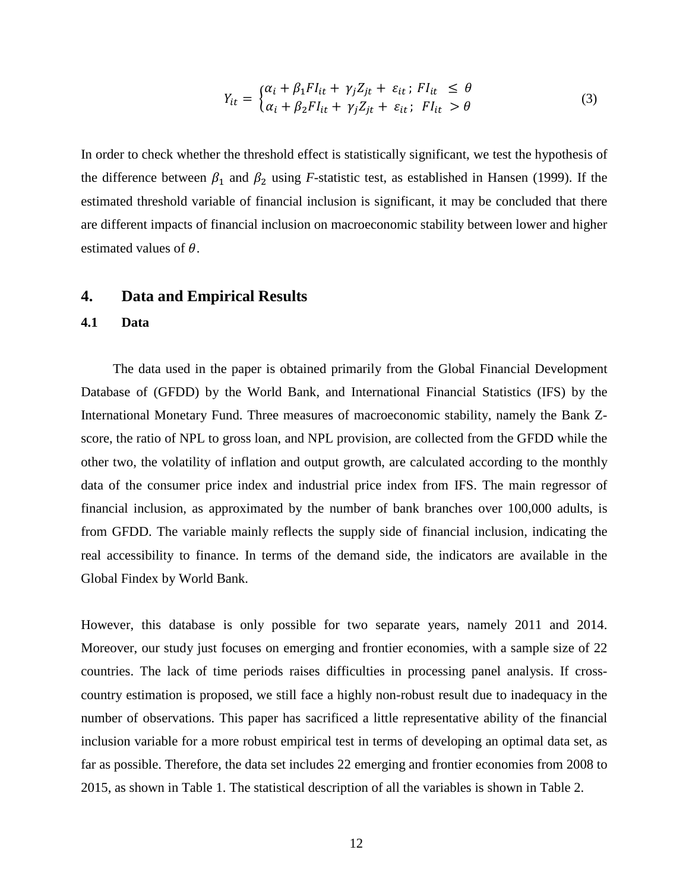$$
Y_{it} = \begin{cases} \alpha_i + \beta_1 F I_{it} + \gamma_j Z_{jt} + \varepsilon_{it} ; \ Fl_{it} \le \theta \\ \alpha_i + \beta_2 F I_{it} + \gamma_j Z_{jt} + \varepsilon_{it} ; \ Fl_{it} > \theta \end{cases}
$$
(3)

In order to check whether the threshold effect is statistically significant, we test the hypothesis of the difference between  $\beta_1$  and  $\beta_2$  using *F*-statistic test, as established in Hansen (1999). If the estimated threshold variable of financial inclusion is significant, it may be concluded that there are different impacts of financial inclusion on macroeconomic stability between lower and higher estimated values of  $\theta$ .

#### **4. Data and Empirical Results**

#### **4.1 Data**

The data used in the paper is obtained primarily from the Global Financial Development Database of (GFDD) by the World Bank, and International Financial Statistics (IFS) by the International Monetary Fund. Three measures of macroeconomic stability, namely the Bank Zscore, the ratio of NPL to gross loan, and NPL provision, are collected from the GFDD while the other two, the volatility of inflation and output growth, are calculated according to the monthly data of the consumer price index and industrial price index from IFS. The main regressor of financial inclusion, as approximated by the number of bank branches over 100,000 adults, is from GFDD. The variable mainly reflects the supply side of financial inclusion, indicating the real accessibility to finance. In terms of the demand side, the indicators are available in the Global Findex by World Bank.

However, this database is only possible for two separate years, namely 2011 and 2014. Moreover, our study just focuses on emerging and frontier economies, with a sample size of 22 countries. The lack of time periods raises difficulties in processing panel analysis. If crosscountry estimation is proposed, we still face a highly non-robust result due to inadequacy in the number of observations. This paper has sacrificed a little representative ability of the financial inclusion variable for a more robust empirical test in terms of developing an optimal data set, as far as possible. Therefore, the data set includes 22 emerging and frontier economies from 2008 to 2015, as shown in Table 1. The statistical description of all the variables is shown in Table 2.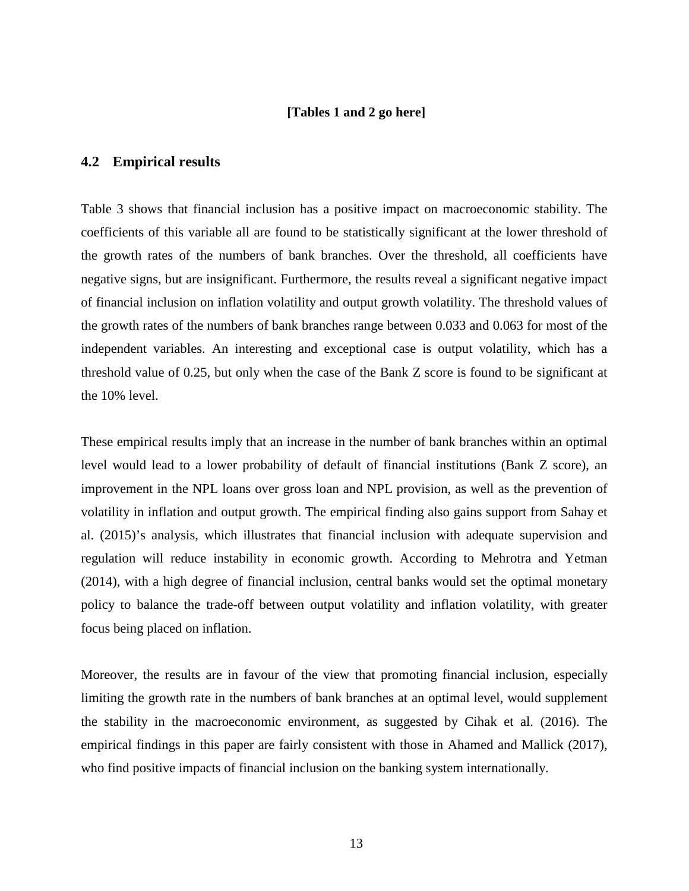#### **[Tables 1 and 2 go here]**

#### **4.2 Empirical results**

Table 3 shows that financial inclusion has a positive impact on macroeconomic stability. The coefficients of this variable all are found to be statistically significant at the lower threshold of the growth rates of the numbers of bank branches. Over the threshold, all coefficients have negative signs, but are insignificant. Furthermore, the results reveal a significant negative impact of financial inclusion on inflation volatility and output growth volatility. The threshold values of the growth rates of the numbers of bank branches range between 0.033 and 0.063 for most of the independent variables. An interesting and exceptional case is output volatility, which has a threshold value of 0.25, but only when the case of the Bank Z score is found to be significant at the 10% level.

These empirical results imply that an increase in the number of bank branches within an optimal level would lead to a lower probability of default of financial institutions (Bank Z score), an improvement in the NPL loans over gross loan and NPL provision, as well as the prevention of volatility in inflation and output growth. The empirical finding also gains support from Sahay et al. (2015)'s analysis, which illustrates that financial inclusion with adequate supervision and regulation will reduce instability in economic growth. According to Mehrotra and Yetman (2014), with a high degree of financial inclusion, central banks would set the optimal monetary policy to balance the trade-off between output volatility and inflation volatility, with greater focus being placed on inflation.

Moreover, the results are in favour of the view that promoting financial inclusion, especially limiting the growth rate in the numbers of bank branches at an optimal level, would supplement the stability in the macroeconomic environment, as suggested by Cihak et al. (2016). The empirical findings in this paper are fairly consistent with those in Ahamed and Mallick (2017), who find positive impacts of financial inclusion on the banking system internationally.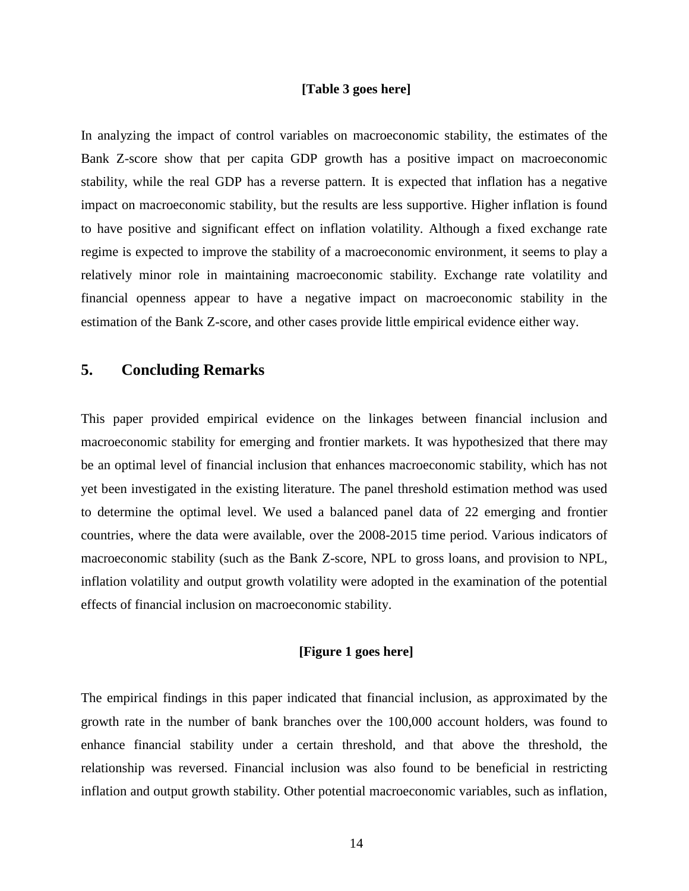#### **[Table 3 goes here]**

In analyzing the impact of control variables on macroeconomic stability, the estimates of the Bank Z-score show that per capita GDP growth has a positive impact on macroeconomic stability, while the real GDP has a reverse pattern. It is expected that inflation has a negative impact on macroeconomic stability, but the results are less supportive. Higher inflation is found to have positive and significant effect on inflation volatility. Although a fixed exchange rate regime is expected to improve the stability of a macroeconomic environment, it seems to play a relatively minor role in maintaining macroeconomic stability. Exchange rate volatility and financial openness appear to have a negative impact on macroeconomic stability in the estimation of the Bank Z-score, and other cases provide little empirical evidence either way.

## **5. Concluding Remarks**

This paper provided empirical evidence on the linkages between financial inclusion and macroeconomic stability for emerging and frontier markets. It was hypothesized that there may be an optimal level of financial inclusion that enhances macroeconomic stability, which has not yet been investigated in the existing literature. The panel threshold estimation method was used to determine the optimal level. We used a balanced panel data of 22 emerging and frontier countries, where the data were available, over the 2008-2015 time period. Various indicators of macroeconomic stability (such as the Bank Z-score, NPL to gross loans, and provision to NPL, inflation volatility and output growth volatility were adopted in the examination of the potential effects of financial inclusion on macroeconomic stability.

#### **[Figure 1 goes here]**

The empirical findings in this paper indicated that financial inclusion, as approximated by the growth rate in the number of bank branches over the 100,000 account holders, was found to enhance financial stability under a certain threshold, and that above the threshold, the relationship was reversed. Financial inclusion was also found to be beneficial in restricting inflation and output growth stability. Other potential macroeconomic variables, such as inflation,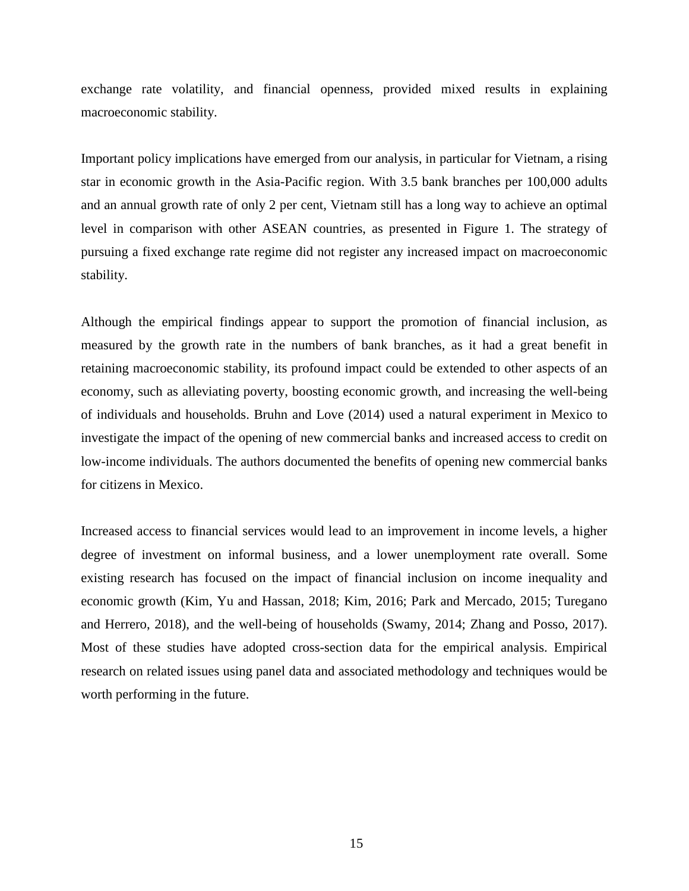exchange rate volatility, and financial openness, provided mixed results in explaining macroeconomic stability.

Important policy implications have emerged from our analysis, in particular for Vietnam, a rising star in economic growth in the Asia-Pacific region. With 3.5 bank branches per 100,000 adults and an annual growth rate of only 2 per cent, Vietnam still has a long way to achieve an optimal level in comparison with other ASEAN countries, as presented in Figure 1. The strategy of pursuing a fixed exchange rate regime did not register any increased impact on macroeconomic stability.

Although the empirical findings appear to support the promotion of financial inclusion, as measured by the growth rate in the numbers of bank branches, as it had a great benefit in retaining macroeconomic stability, its profound impact could be extended to other aspects of an economy, such as alleviating poverty, boosting economic growth, and increasing the well-being of individuals and households. Bruhn and Love (2014) used a natural experiment in Mexico to investigate the impact of the opening of new commercial banks and increased access to credit on low-income individuals. The authors documented the benefits of opening new commercial banks for citizens in Mexico.

Increased access to financial services would lead to an improvement in income levels, a higher degree of investment on informal business, and a lower unemployment rate overall. Some existing research has focused on the impact of financial inclusion on income inequality and economic growth (Kim, Yu and Hassan, 2018; Kim, 2016; Park and Mercado, 2015; Turegano and Herrero, 2018), and the well-being of households (Swamy, 2014; Zhang and Posso, 2017). Most of these studies have adopted cross-section data for the empirical analysis. Empirical research on related issues using panel data and associated methodology and techniques would be worth performing in the future.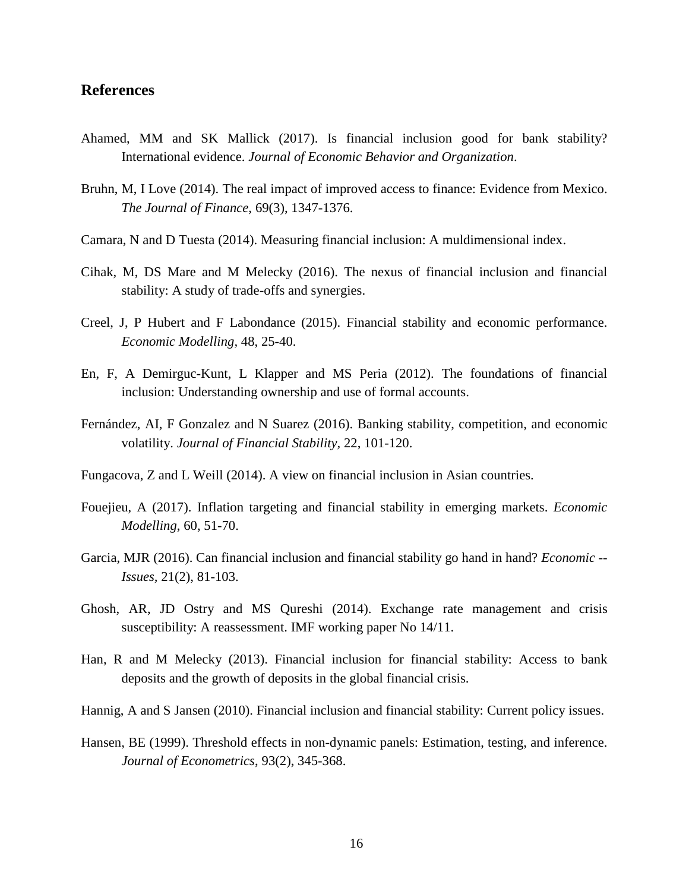### **References**

- Ahamed, MM and SK Mallick (2017). Is financial inclusion good for bank stability? International evidence. *Journal of Economic Behavior and Organization*.
- Bruhn, M, I Love (2014). The real impact of improved access to finance: Evidence from Mexico. *The Journal of Finance*, 69(3), 1347-1376.
- Camara, N and D Tuesta (2014). Measuring financial inclusion: A muldimensional index.
- Cihak, M, DS Mare and M Melecky (2016). The nexus of financial inclusion and financial stability: A study of trade-offs and synergies.
- Creel, J, P Hubert and F Labondance (2015). Financial stability and economic performance. *Economic Modelling,* 48, 25-40.
- En, F, A Demirguc-Kunt, L Klapper and MS Peria (2012). The foundations of financial inclusion: Understanding ownership and use of formal accounts.
- Fernández, AI, F Gonzalez and N Suarez (2016). Banking stability, competition, and economic volatility. *Journal of Financial Stability,* 22, 101-120.
- Fungacova, Z and L Weill (2014). A view on financial inclusion in Asian countries.
- Fouejieu, A (2017). Inflation targeting and financial stability in emerging markets. *Economic Modelling*, 60, 51-70.
- Garcia, MJR (2016). Can financial inclusion and financial stability go hand in hand? *Economic -- Issues,* 21(2), 81-103.
- Ghosh, AR, JD Ostry and MS Qureshi (2014). Exchange rate management and crisis susceptibility: A reassessment. IMF working paper No 14/11.
- Han, R and M Melecky (2013). Financial inclusion for financial stability: Access to bank deposits and the growth of deposits in the global financial crisis.
- Hannig, A and S Jansen (2010). Financial inclusion and financial stability: Current policy issues.
- Hansen, BE (1999). Threshold effects in non-dynamic panels: Estimation, testing, and inference. *Journal of Econometrics*, 93(2), 345-368.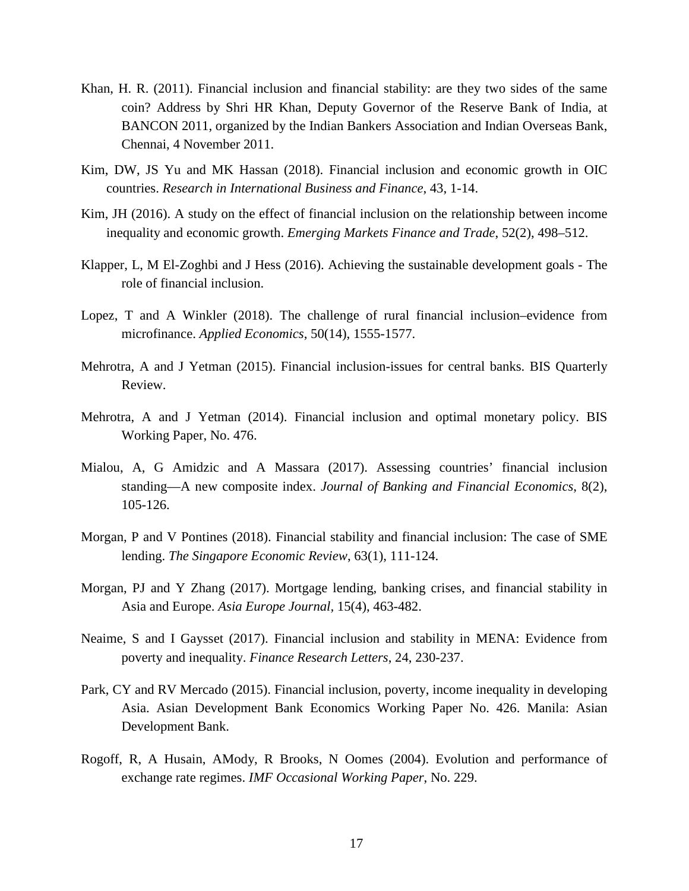- Khan, H. R. (2011). Financial inclusion and financial stability: are they two sides of the same coin? Address by Shri HR Khan, Deputy Governor of the Reserve Bank of India, at BANCON 2011, organized by the Indian Bankers Association and Indian Overseas Bank, Chennai, 4 November 2011.
- Kim, DW, JS Yu and MK Hassan (2018). Financial inclusion and economic growth in OIC countries. *Research in International Business and Finance*, 43, 1-14.
- Kim, JH (2016). A study on the effect of financial inclusion on the relationship between income inequality and economic growth. *Emerging Markets Finance and Trade*, 52(2), 498–512.
- Klapper, L, M El-Zoghbi and J Hess (2016). Achieving the sustainable development goals The role of financial inclusion.
- Lopez, T and A Winkler (2018). The challenge of rural financial inclusion–evidence from microfinance. *Applied Economics*, 50(14), 1555-1577.
- Mehrotra, A and J Yetman (2015). Financial inclusion-issues for central banks. BIS Quarterly Review.
- Mehrotra, A and J Yetman (2014). Financial inclusion and optimal monetary policy. BIS Working Paper, No. 476.
- Mialou, A, G Amidzic and A Massara (2017). Assessing countries' financial inclusion standing—A new composite index. *Journal of Banking and Financial Economics*, 8(2), 105-126.
- Morgan, P and V Pontines (2018). Financial stability and financial inclusion: The case of SME lending. *The Singapore Economic Review*, 63(1), 111-124.
- Morgan, PJ and Y Zhang (2017). Mortgage lending, banking crises, and financial stability in Asia and Europe. *Asia Europe Journal,* 15(4), 463-482.
- Neaime, S and I Gaysset (2017). Financial inclusion and stability in MENA: Evidence from poverty and inequality. *Finance Research Letters*, 24, 230-237.
- Park, CY and RV Mercado (2015). Financial inclusion, poverty, income inequality in developing Asia. Asian Development Bank Economics Working Paper No. 426. Manila: Asian Development Bank.
- Rogoff, R, A Husain, AMody, R Brooks, N Oomes (2004). Evolution and performance of exchange rate regimes. *IMF Occasional Working Paper*, No. 229.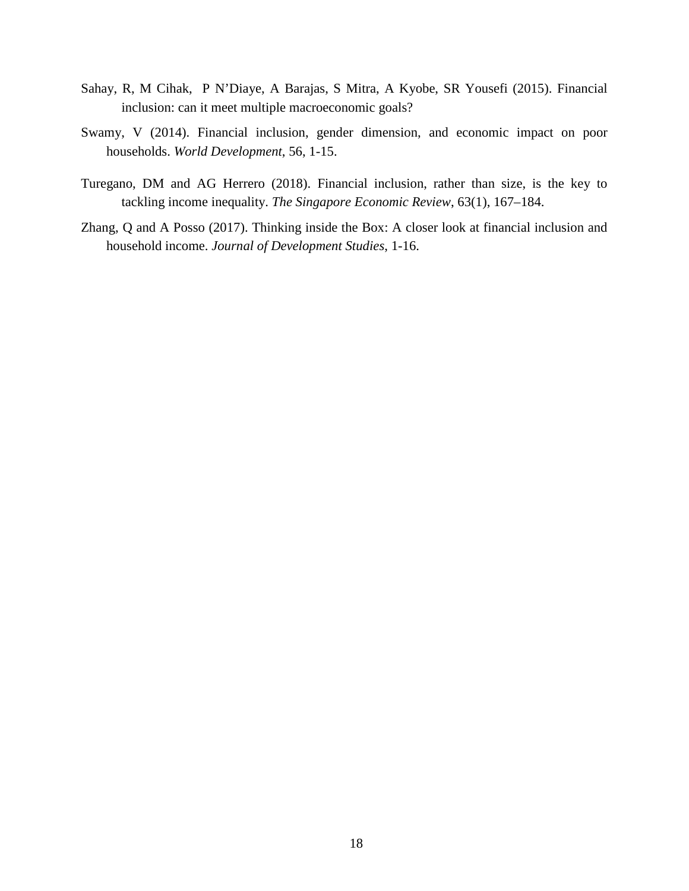- Sahay, R, M Cihak, P N'Diaye, A Barajas, S Mitra, A Kyobe, SR Yousefi (2015). Financial inclusion: can it meet multiple macroeconomic goals?
- Swamy, V (2014). Financial inclusion, gender dimension, and economic impact on poor households. *World Development*, 56, 1-15.
- Turegano, DM and AG Herrero (2018). Financial inclusion, rather than size, is the key to tackling income inequality. *The Singapore Economic Review*, 63(1), 167–184.
- Zhang, Q and A Posso (2017). Thinking inside the Box: A closer look at financial inclusion and household income. *Journal of Development Studies*, 1-16.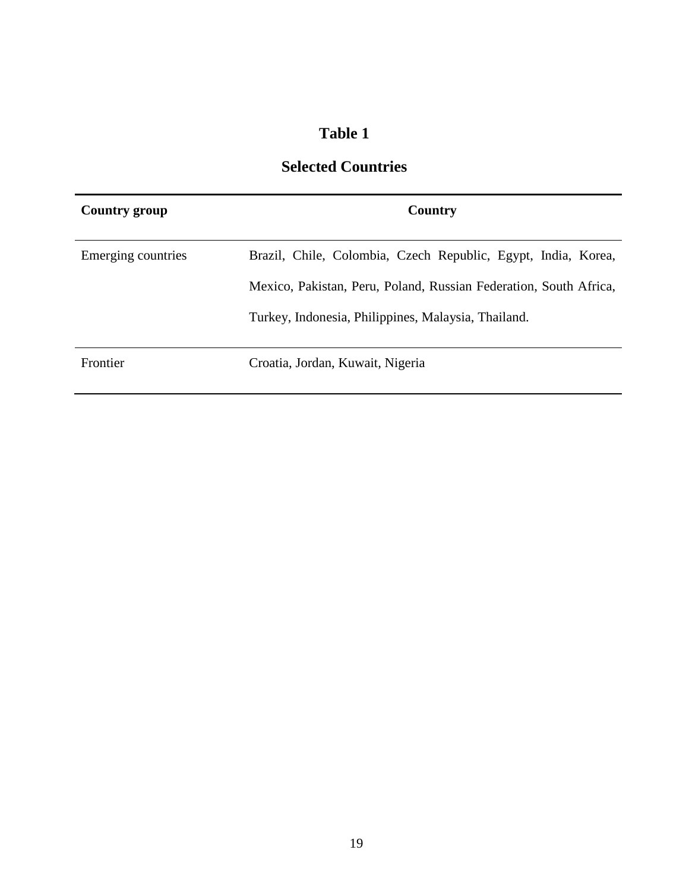# **Table 1**

# **Selected Countries**

| Country group      | Country                                                           |  |  |  |  |  |
|--------------------|-------------------------------------------------------------------|--|--|--|--|--|
| Emerging countries | Brazil, Chile, Colombia, Czech Republic, Egypt, India, Korea,     |  |  |  |  |  |
|                    | Mexico, Pakistan, Peru, Poland, Russian Federation, South Africa, |  |  |  |  |  |
|                    | Turkey, Indonesia, Philippines, Malaysia, Thailand.               |  |  |  |  |  |
| Frontier           | Croatia, Jordan, Kuwait, Nigeria                                  |  |  |  |  |  |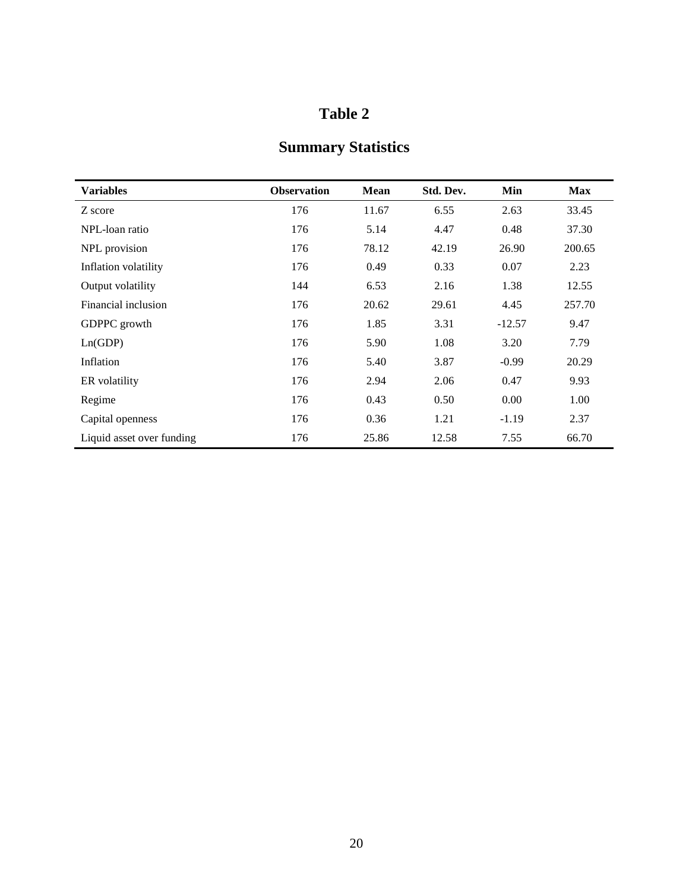# **Table 2**

# **Summary Statistics**

| <b>Variables</b>          | <b>Observation</b> | Mean  | Std. Dev. | Min      | <b>Max</b> |
|---------------------------|--------------------|-------|-----------|----------|------------|
| Z score                   | 176                | 11.67 | 6.55      | 2.63     | 33.45      |
| NPL-loan ratio            | 176                | 5.14  | 4.47      | 0.48     | 37.30      |
| NPL provision             | 176                | 78.12 | 42.19     | 26.90    | 200.65     |
| Inflation volatility      | 176                | 0.49  | 0.33      | 0.07     | 2.23       |
| Output volatility         | 144                | 6.53  | 2.16      | 1.38     | 12.55      |
| Financial inclusion       | 176                | 20.62 | 29.61     | 4.45     | 257.70     |
| GDPPC growth              | 176                | 1.85  | 3.31      | $-12.57$ | 9.47       |
| Ln(GDP)                   | 176                | 5.90  | 1.08      | 3.20     | 7.79       |
| Inflation                 | 176                | 5.40  | 3.87      | $-0.99$  | 20.29      |
| ER volatility             | 176                | 2.94  | 2.06      | 0.47     | 9.93       |
| Regime                    | 176                | 0.43  | 0.50      | 0.00     | 1.00       |
| Capital openness          | 176                | 0.36  | 1.21      | $-1.19$  | 2.37       |
| Liquid asset over funding | 176                | 25.86 | 12.58     | 7.55     | 66.70      |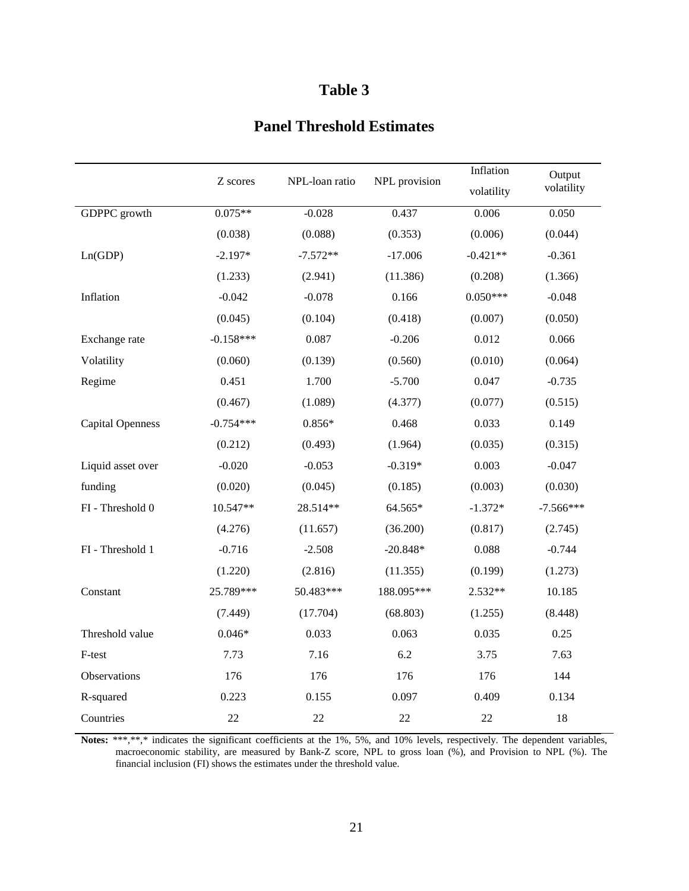# **Table 3**

# **Panel Threshold Estimates**

|                         | Z scores    | NPL-loan ratio | NPL provision | Inflation  | Output      |
|-------------------------|-------------|----------------|---------------|------------|-------------|
|                         |             |                |               | volatility | volatility  |
| <b>GDPPC</b> growth     | $0.075**$   | $-0.028$       | 0.437         | 0.006      | 0.050       |
|                         | (0.038)     | (0.088)        | (0.353)       | (0.006)    | (0.044)     |
| Ln(GDP)                 | $-2.197*$   | $-7.572**$     | $-17.006$     | $-0.421**$ | $-0.361$    |
|                         | (1.233)     | (2.941)        | (11.386)      | (0.208)    | (1.366)     |
| Inflation               | $-0.042$    | $-0.078$       | 0.166         | $0.050***$ | $-0.048$    |
|                         | (0.045)     | (0.104)        | (0.418)       | (0.007)    | (0.050)     |
| Exchange rate           | $-0.158***$ | 0.087          | $-0.206$      | 0.012      | 0.066       |
| Volatility              | (0.060)     | (0.139)        | (0.560)       | (0.010)    | (0.064)     |
| Regime                  | 0.451       | 1.700          | $-5.700$      | 0.047      | $-0.735$    |
|                         | (0.467)     | (1.089)        | (4.377)       | (0.077)    | (0.515)     |
| <b>Capital Openness</b> | $-0.754***$ | $0.856*$       | 0.468         | 0.033      | 0.149       |
|                         | (0.212)     | (0.493)        | (1.964)       | (0.035)    | (0.315)     |
| Liquid asset over       | $-0.020$    | $-0.053$       | $-0.319*$     | 0.003      | $-0.047$    |
| funding                 | (0.020)     | (0.045)        | (0.185)       | (0.003)    | (0.030)     |
| FI - Threshold 0        | 10.547**    | 28.514**       | 64.565*       | $-1.372*$  | $-7.566***$ |
|                         | (4.276)     | (11.657)       | (36.200)      | (0.817)    | (2.745)     |
| FI - Threshold 1        | $-0.716$    | $-2.508$       | $-20.848*$    | 0.088      | $-0.744$    |
|                         | (1.220)     | (2.816)        | (11.355)      | (0.199)    | (1.273)     |
| Constant                | 25.789***   | 50.483***      | 188.095***    | 2.532**    | 10.185      |
|                         | (7.449)     | (17.704)       | (68.803)      | (1.255)    | (8.448)     |
| Threshold value         | $0.046*$    | 0.033          | 0.063         | 0.035      | 0.25        |
| F-test                  | 7.73        | 7.16           | 6.2           | 3.75       | 7.63        |
| Observations            | 176         | 176            | 176           | 176        | 144         |
| R-squared               | 0.223       | 0.155          | 0.097         | 0.409      | 0.134       |
| Countries               | 22          | 22             | 22            | $22\,$     | 18          |

Notes: \*\*\*,\*\*,\* indicates the significant coefficients at the 1%, 5%, and 10% levels, respectively. The dependent variables, macroeconomic stability, are measured by Bank-Z score, NPL to gross loan (%), and Provision to NPL (%). The financial inclusion (FI) shows the estimates under the threshold value.